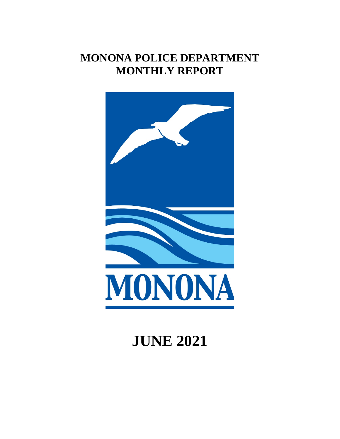# **MONONA POLICE DEPARTMENT MONTHLY REPORT**



# **JUNE 2021**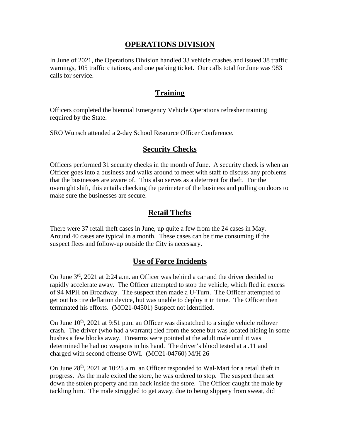#### **OPERATIONS DIVISION**

In June of 2021, the Operations Division handled 33 vehicle crashes and issued 38 traffic warnings, 105 traffic citations, and one parking ticket. Our calls total for June was 983 calls for service.

#### **Training**

Officers completed the biennial Emergency Vehicle Operations refresher training required by the State.

SRO Wunsch attended a 2-day School Resource Officer Conference.

#### **Security Checks**

Officers performed 31 security checks in the month of June. A security check is when an Officer goes into a business and walks around to meet with staff to discuss any problems that the businesses are aware of. This also serves as a deterrent for theft. For the overnight shift, this entails checking the perimeter of the business and pulling on doors to make sure the businesses are secure.

# **Retail Thefts**

There were 37 retail theft cases in June, up quite a few from the 24 cases in May. Around 40 cases are typical in a month. These cases can be time consuming if the suspect flees and follow-up outside the City is necessary.

# **Use of Force Incidents**

On June 3rd, 2021 at 2:24 a.m. an Officer was behind a car and the driver decided to rapidly accelerate away. The Officer attempted to stop the vehicle, which fled in excess of 94 MPH on Broadway. The suspect then made a U-Turn. The Officer attempted to get out his tire deflation device, but was unable to deploy it in time. The Officer then terminated his efforts. (MO21-04501) Suspect not identified.

On June  $10^{th}$ , 2021 at 9:51 p.m. an Officer was dispatched to a single vehicle rollover crash. The driver (who had a warrant) fled from the scene but was located hiding in some bushes a few blocks away. Firearms were pointed at the adult male until it was determined he had no weapons in his hand. The driver's blood tested at a .11 and charged with second offense OWI. (MO21-04760) M/H 26

On June 28<sup>th</sup>, 2021 at 10:25 a.m. an Officer responded to Wal-Mart for a retail theft in progress. As the male exited the store, he was ordered to stop. The suspect then set down the stolen property and ran back inside the store. The Officer caught the male by tackling him. The male struggled to get away, due to being slippery from sweat, did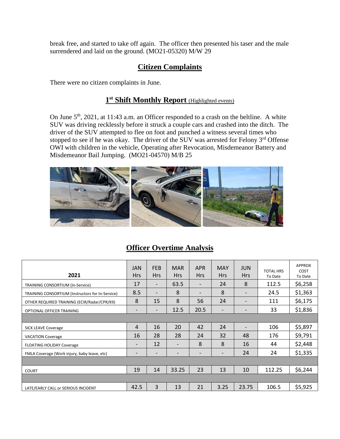break free, and started to take off again. The officer then presented his taser and the male surrendered and laid on the ground. (MO21-05320) M/W 29

## **Citizen Complaints**

There were no citizen complaints in June.

#### **1st Shift Monthly Report** (Highlighted events)

On June  $5<sup>th</sup>$ , 2021, at 11:43 a.m. an Officer responded to a crash on the beltline. A white SUV was driving recklessly before it struck a couple cars and crashed into the ditch. The driver of the SUV attempted to flee on foot and punched a witness several times who stopped to see if he was okay. The driver of the SUV was arrested for Felony 3<sup>rd</sup> Offense OWI with children in the vehicle, Operating after Revocation, Misdemeanor Battery and Misdemeanor Bail Jumping. (MO21-04570) M/B 25



# **Officer Overtime Analysis**

| 2021                                             | <b>JAN</b><br><b>Hrs</b> | <b>FEB</b><br><b>Hrs</b> | <b>MAR</b><br><b>Hrs</b> | <b>APR</b><br><b>Hrs</b>     | <b>MAY</b><br><b>Hrs</b> | <b>JUN</b><br><b>Hrs</b> | <b>TOTAL HRS</b><br>To Date | <b>APPROX</b><br><b>COST</b><br>To Date |
|--------------------------------------------------|--------------------------|--------------------------|--------------------------|------------------------------|--------------------------|--------------------------|-----------------------------|-----------------------------------------|
| TRAINING CONSORTIUM (In-Service)                 | 17                       | $\overline{\phantom{a}}$ | 63.5                     | $\qquad \qquad \blacksquare$ | 24                       | 8                        | 112.5                       | \$6,258                                 |
| TRAINING CONSORTIUM (Instructors for In-Service) | 8.5                      | $\qquad \qquad$          | 8                        | $\overline{\phantom{a}}$     | 8                        | $\qquad \qquad$          | 24.5                        | \$1,363                                 |
| OTHER REQUIRED TRAINING (ECIR/Radar/CPR/K9)      | 8                        | 15                       | 8                        | 56                           | 24                       | $\overline{\phantom{0}}$ | 111                         | \$6,175                                 |
| OPTIONAL OFFICER TRAINING                        | $\overline{\phantom{a}}$ | $\qquad \qquad$          | 12.5                     | 20.5                         | $\overline{\phantom{0}}$ |                          | 33                          | \$1,836                                 |
|                                                  |                          |                          |                          |                              |                          |                          |                             |                                         |
| <b>SICK LEAVE Coverage</b>                       | $\overline{4}$           | 16                       | 20                       | 42                           | 24                       | $\qquad \qquad$          | 106                         | \$5,897                                 |
| <b>VACATION Coverage</b>                         | 16                       | 28                       | 28                       | 24                           | 32                       | 48                       | 176                         | \$9,791                                 |
| <b>FLOATING HOLIDAY Coverage</b>                 |                          | 12                       | $\overline{\phantom{0}}$ | 8                            | 8                        | 16                       | 44                          | \$2,448                                 |
| FMLA Coverage (Work injury, baby leave, etc)     |                          | $\overline{a}$           |                          |                              |                          | 24                       | 24                          | \$1,335                                 |
|                                                  |                          |                          |                          |                              |                          |                          |                             |                                         |
| <b>COURT</b>                                     | 19                       | 14                       | 33.25                    | 23                           | 13                       | 10                       | 112.25                      | \$6,244                                 |
|                                                  |                          |                          |                          |                              |                          |                          |                             |                                         |
| LATE/EARLY CALL or SERIOUS INCIDENT              | 42.5                     | 3                        | 13                       | 21                           | 3.25                     | 23.75                    | 106.5                       | \$5,925                                 |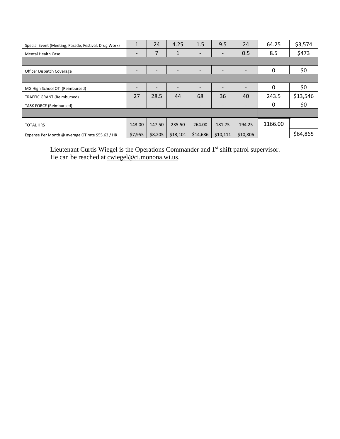| Special Event (Meeting, Parade, Festival, Drug Work) | 1                            | 24                       | 4.25                     | 1.5             | 9.5                      | 24              | 64.25   | \$3,574  |
|------------------------------------------------------|------------------------------|--------------------------|--------------------------|-----------------|--------------------------|-----------------|---------|----------|
| <b>Mental Health Case</b>                            | $\qquad \qquad \blacksquare$ | 7                        | 1                        | $\qquad \qquad$ | $\overline{\phantom{a}}$ | 0.5             | 8.5     | \$473    |
|                                                      |                              |                          |                          |                 |                          |                 |         |          |
| Officer Dispatch Coverage                            |                              |                          |                          |                 |                          |                 | 0       | \$0      |
|                                                      |                              |                          |                          |                 |                          |                 |         |          |
| MG High School OT (Reimbursed)                       | $\qquad \qquad \blacksquare$ | $\overline{\phantom{0}}$ | $\overline{\phantom{0}}$ | $\qquad \qquad$ | $\overline{\phantom{0}}$ | $\qquad \qquad$ | 0       | \$0      |
| TRAFFIC GRANT (Reimbursed)                           | 27                           | 28.5                     | 44                       | 68              | 36                       | 40              | 243.5   | \$13,546 |
| <b>TASK FORCE (Reimbursed)</b>                       | -                            | $\overline{\phantom{0}}$ | $\overline{\phantom{0}}$ |                 | $\overline{\phantom{0}}$ | $\qquad \qquad$ | 0       | \$0      |
|                                                      |                              |                          |                          |                 |                          |                 |         |          |
| <b>TOTAL HRS</b>                                     | 143.00                       | 147.50                   | 235.50                   | 264.00          | 181.75                   | 194.25          | 1166.00 |          |
| Expense Per Month @ average OT rate \$55.63 / HR     | \$7,955                      | \$8,205                  | \$13,101                 | \$14,686        | \$10,111                 | \$10,806        |         | \$64,865 |

Lieutenant Curtis Wiegel is the Operations Commander and 1<sup>st</sup> shift patrol supervisor. He can be reached at <u>cwiegel@ci.monona.wi.us</u>.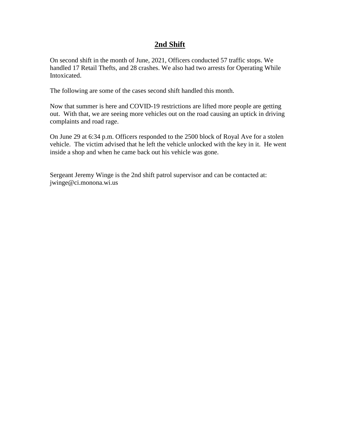#### **2nd Shift**

On second shift in the month of June, 2021, Officers conducted 57 traffic stops. We handled 17 Retail Thefts, and 28 crashes. We also had two arrests for Operating While Intoxicated.

The following are some of the cases second shift handled this month.

Now that summer is here and COVID-19 restrictions are lifted more people are getting out. With that, we are seeing more vehicles out on the road causing an uptick in driving complaints and road rage.

On June 29 at 6:34 p.m. Officers responded to the 2500 block of Royal Ave for a stolen vehicle. The victim advised that he left the vehicle unlocked with the key in it. He went inside a shop and when he came back out his vehicle was gone.

Sergeant Jeremy Winge is the 2nd shift patrol supervisor and can be contacted at: jwinge@ci.monona.wi.us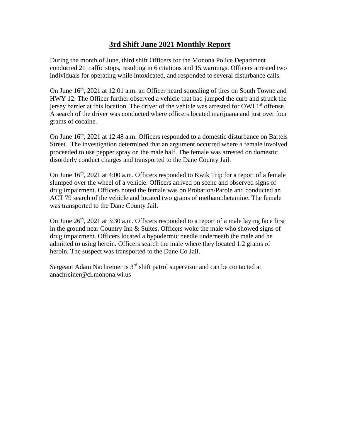## **3rd Shift June 2021 Monthly Report**

During the month of June, third shift Officers for the Monona Police Department conducted 21 traffic stops, resulting in 6 citations and 15 warnings. Officers arrested two individuals for operating while intoxicated, and responded to several disturbance calls.

On June  $16<sup>th</sup>$ , 2021 at 12:01 a.m. an Officer heard squealing of tires on South Towne and HWY 12. The Officer further observed a vehicle that had jumped the curb and struck the jersey barrier at this location. The driver of the vehicle was arrested for OWI  $1<sup>st</sup>$  offense. A search of the driver was conducted where officers located marijuana and just over four grams of cocaine.

On June  $16<sup>th</sup>$ , 2021 at 12:48 a.m. Officers responded to a domestic disturbance on Bartels Street. The investigation determined that an argument occurred where a female involved proceeded to use pepper spray on the male half. The female was arrested on domestic disorderly conduct charges and transported to the Dane County Jail.

On June  $16<sup>th</sup>$ , 2021 at 4:00 a.m. Officers responded to Kwik Trip for a report of a female slumped over the wheel of a vehicle. Officers arrived on scene and observed signs of drug impairment. Officers noted the female was on Probation/Parole and conducted an ACT 79 search of the vehicle and located two grams of methamphetamine. The female was transported to the Dane County Jail.

On June  $26<sup>th</sup>$ , 2021 at 3:30 a.m. Officers responded to a report of a male laying face first in the ground near Country Inn & Suites. Officers woke the male who showed signs of drug impairment. Officers located a hypodermic needle underneath the male and he admitted to using heroin. Officers search the male where they located 1.2 grams of heroin. The suspect was transported to the Dane Co Jail.

Sergeant Adam Nachreiner is  $3<sup>rd</sup>$  shift patrol supervisor and can be contacted at anachreiner@ci.monona.wi.us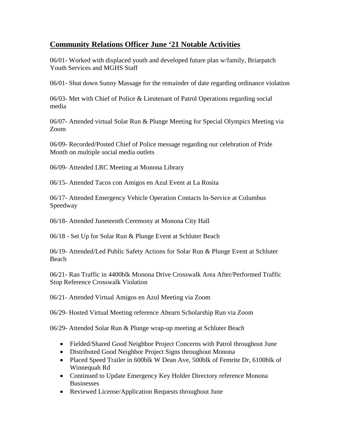# **Community Relations Officer June '21 Notable Activities**

06/01- Worked with displaced youth and developed future plan w/family, Briarpatch Youth Services and MGHS Staff

06/01- Shut down Sunny Massage for the remainder of date regarding ordinance violation

06/03- Met with Chief of Police & Lieutenant of Patrol Operations regarding social media

06/07- Attended virtual Solar Run & Plunge Meeting for Special Olympics Meeting via Zoom

06/09- Recorded/Posted Chief of Police message regarding our celebration of Pride Month on multiple social media outlets

06/09- Attended LRC Meeting at Monona Library

06/15- Attended Tacos con Amigos en Azul Event at La Rosita

06/17- Attended Emergency Vehicle Operation Contacts In-Service at Columbus Speedway

06/18- Attended Juneteenth Ceremony at Monona City Hall

06/18 - Set Up for Solar Run & Plunge Event at Schluter Beach

06/19- Attended/Led Public Safety Actions for Solar Run & Plunge Event at Schluter Beach

06/21- Ran Traffic in 4400blk Monona Drive Crosswalk Area After/Performed Traffic Stop Reference Crosswalk Violation

06/21- Attended Virtual Amigos en Azul Meeting via Zoom

06/29- Hosted Virtual Meeting reference Ahearn Scholarship Run via Zoom

06/29- Attended Solar Run & Plunge wrap-up meeting at Schluter Beach

- Fielded/Shared Good Neighbor Project Concerns with Patrol throughout June
- Distributed Good Neighbor Project Signs throughout Monona
- Placed Speed Trailer in 600blk W Dean Ave, 500blk of Femrite Dr, 6100blk of Winnequah Rd
- Continued to Update Emergency Key Holder Directory reference Monona Businesses
- Reviewed License/Application Requests throughout June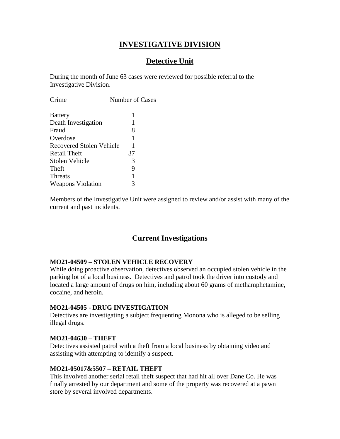## **INVESTIGATIVE DIVISION**

# **Detective Unit**

During the month of June 63 cases were reviewed for possible referral to the Investigative Division.

| Number of Cases               |
|-------------------------------|
| 1                             |
| 1                             |
| 8                             |
| 1                             |
| Recovered Stolen Vehicle<br>1 |
| 37                            |
| 3                             |
| 9                             |
| 1                             |
| 3                             |
|                               |

Members of the Investigative Unit were assigned to review and/or assist with many of the current and past incidents.

#### **Current Investigations**

#### **MO21-04509 – STOLEN VEHICLE RECOVERY**

While doing proactive observation, detectives observed an occupied stolen vehicle in the parking lot of a local business. Detectives and patrol took the driver into custody and located a large amount of drugs on him, including about 60 grams of methamphetamine, cocaine, and heroin.

#### **MO21-04505 - DRUG INVESTIGATION**

Detectives are investigating a subject frequenting Monona who is alleged to be selling illegal drugs.

#### **MO21-04630 – THEFT**

Detectives assisted patrol with a theft from a local business by obtaining video and assisting with attempting to identify a suspect.

#### **MO21-05017&5507 – RETAIL THEFT**

This involved another serial retail theft suspect that had hit all over Dane Co. He was finally arrested by our department and some of the property was recovered at a pawn store by several involved departments.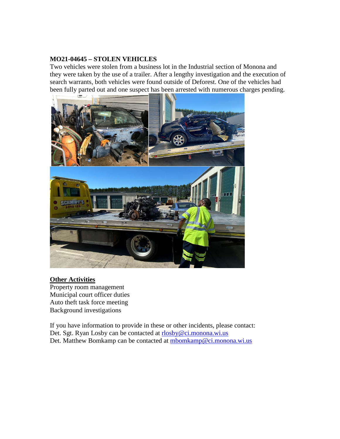#### **MO21-04645 – STOLEN VEHICLES**

Two vehicles were stolen from a business lot in the Industrial section of Monona and they were taken by the use of a trailer. After a lengthy investigation and the execution of search warrants, both vehicles were found outside of Deforest. One of the vehicles had been fully parted out and one suspect has been arrested with numerous charges pending.



#### **Other Activities**

Property room management Municipal court officer duties Auto theft task force meeting Background investigations

If you have information to provide in these or other incidents, please contact: Det. Sgt. Ryan Losby can be contacted at [rlosby@ci.monona.wi.us](mailto:rlosby@ci.monona.wi.us) Det. Matthew Bomkamp can be contacted at [mbomkamp@ci.monona.wi.us](mailto:mbomkamp@ci.monona.wi.us)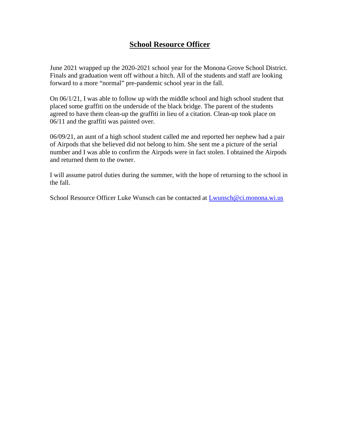## **School Resource Officer**

June 2021 wrapped up the 2020-2021 school year for the Monona Grove School District. Finals and graduation went off without a hitch. All of the students and staff are looking forward to a more "normal" pre-pandemic school year in the fall.

On 06/1/21, I was able to follow up with the middle school and high school student that placed some graffiti on the underside of the black bridge. The parent of the students agreed to have them clean-up the graffiti in lieu of a citation. Clean-up took place on 06/11 and the graffiti was painted over.

06/09/21, an aunt of a high school student called me and reported her nephew had a pair of Airpods that she believed did not belong to him. She sent me a picture of the serial number and I was able to confirm the Airpods were in fact stolen. I obtained the Airpods and returned them to the owner.

I will assume patrol duties during the summer, with the hope of returning to the school in the fall.

School Resource Officer Luke Wunsch can be contacted at [Lwunsch@ci.monona.wi.us](mailto:Lwunsch@ci.monona.wi.us)